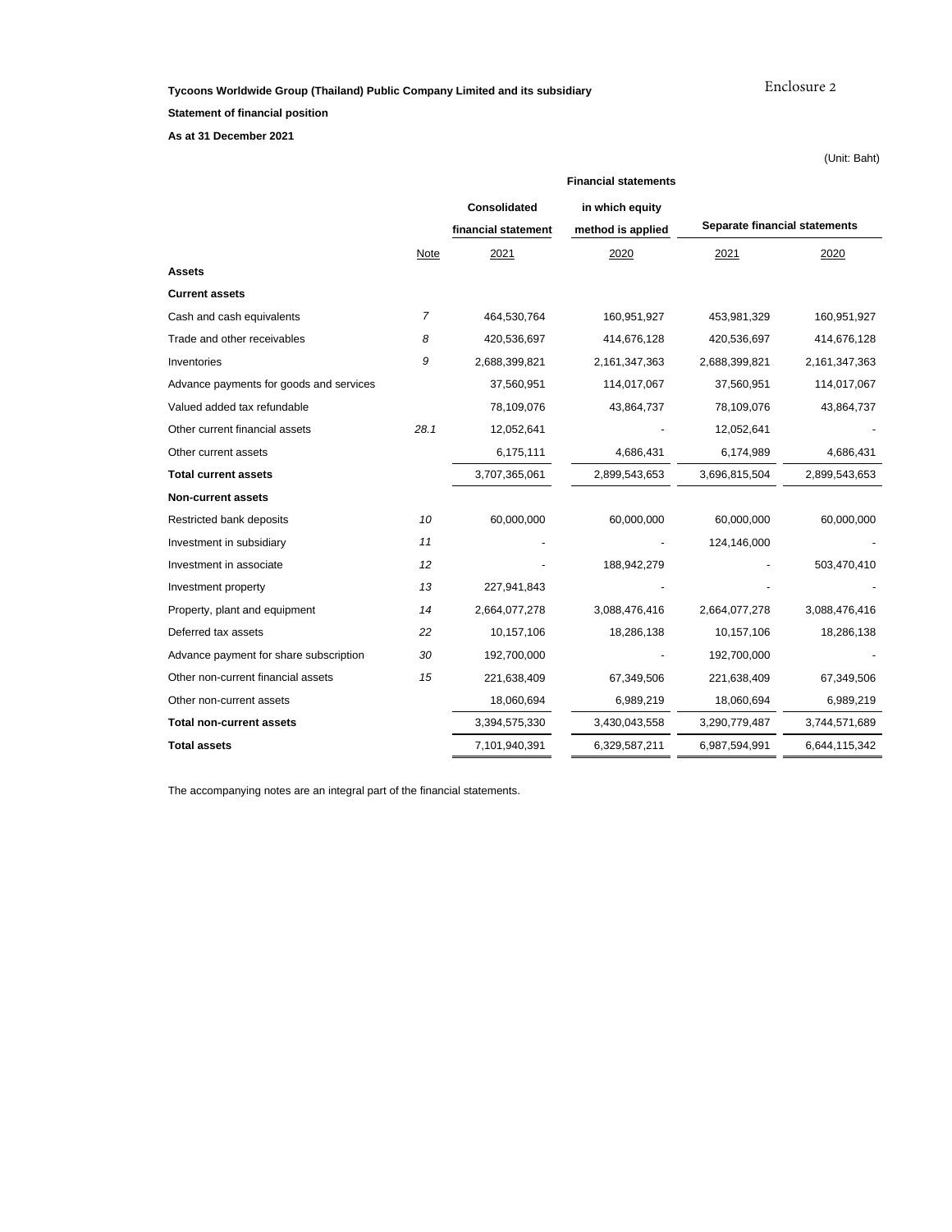**Tycoons Worldwide Group (Thailand) Public Company Limited and its subsidiary**

Enclosure 2

(Unit: Baht)

**Statement of financial position**

**As at 31 December 2021**

|                                         | <b>Financial statements</b> |                     |                   |                               |               |  |  |
|-----------------------------------------|-----------------------------|---------------------|-------------------|-------------------------------|---------------|--|--|
|                                         |                             | Consolidated        | in which equity   |                               |               |  |  |
|                                         |                             | financial statement | method is applied | Separate financial statements |               |  |  |
|                                         | Note                        | 2021                | 2020              | 2021                          | 2020          |  |  |
| <b>Assets</b>                           |                             |                     |                   |                               |               |  |  |
| <b>Current assets</b>                   |                             |                     |                   |                               |               |  |  |
| Cash and cash equivalents               | 7                           | 464,530,764         | 160,951,927       | 453,981,329                   | 160,951,927   |  |  |
| Trade and other receivables             | 8                           | 420,536,697         | 414,676,128       | 420,536,697                   | 414,676,128   |  |  |
| Inventories                             | 9                           | 2,688,399,821       | 2,161,347,363     | 2,688,399,821                 | 2,161,347,363 |  |  |
| Advance payments for goods and services |                             | 37,560,951          | 114,017,067       | 37,560,951                    | 114,017,067   |  |  |
| Valued added tax refundable             |                             | 78,109,076          | 43,864,737        | 78,109,076                    | 43,864,737    |  |  |
| Other current financial assets          | 28.1                        | 12,052,641          |                   | 12,052,641                    |               |  |  |
| Other current assets                    |                             | 6,175,111           | 4,686,431         | 6,174,989                     | 4,686,431     |  |  |
| <b>Total current assets</b>             |                             | 3,707,365,061       | 2,899,543,653     | 3,696,815,504                 | 2,899,543,653 |  |  |
| <b>Non-current assets</b>               |                             |                     |                   |                               |               |  |  |
| Restricted bank deposits                | 10                          | 60,000,000          | 60,000,000        | 60,000,000                    | 60,000,000    |  |  |
| Investment in subsidiary                | 11                          |                     |                   | 124,146,000                   |               |  |  |
| Investment in associate                 | 12                          |                     | 188,942,279       |                               | 503,470,410   |  |  |
| Investment property                     | 13                          | 227,941,843         |                   |                               |               |  |  |
| Property, plant and equipment           | 14                          | 2,664,077,278       | 3,088,476,416     | 2,664,077,278                 | 3,088,476,416 |  |  |
| Deferred tax assets                     | 22                          | 10,157,106          | 18,286,138        | 10,157,106                    | 18,286,138    |  |  |
| Advance payment for share subscription  | 30                          | 192,700,000         |                   | 192,700,000                   |               |  |  |
| Other non-current financial assets      | 15                          | 221,638,409         | 67,349,506        | 221,638,409                   | 67,349,506    |  |  |
| Other non-current assets                |                             | 18,060,694          | 6,989,219         | 18,060,694                    | 6,989,219     |  |  |
| <b>Total non-current assets</b>         |                             | 3,394,575,330       | 3,430,043,558     | 3,290,779,487                 | 3,744,571,689 |  |  |
| <b>Total assets</b>                     |                             | 7,101,940,391       | 6,329,587,211     | 6,987,594,991                 | 6,644,115,342 |  |  |

The accompanying notes are an integral part of the financial statements.